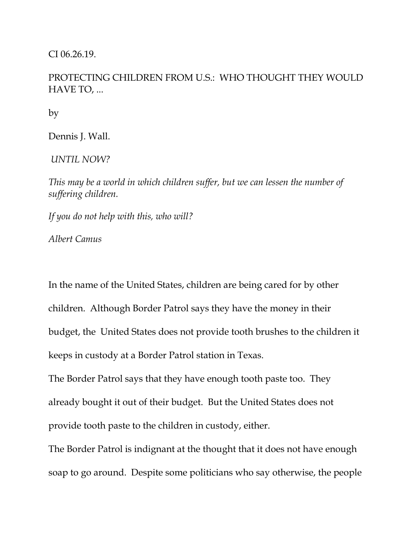CI 06.26.19.

## PROTECTING CHILDREN FROM U.S.: WHO THOUGHT THEY WOULD HAVE TO, ...

by

Dennis J. Wall.

*UNTIL NOW?*

*This may be a world in which children suffer, but we can lessen the number of suffering children.*

*If you do not help with this, who will?*

*Albert Camus*

In the name of the United States, children are being cared for by other children. Although Border Patrol says they have the money in their budget, the United States does not provide tooth brushes to the children it keeps in custody at a Border Patrol station in Texas.

The Border Patrol says that they have enough tooth paste too. They already bought it out of their budget. But the United States does not provide tooth paste to the children in custody, either.

The Border Patrol is indignant at the thought that it does not have enough soap to go around. Despite some politicians who say otherwise, the people